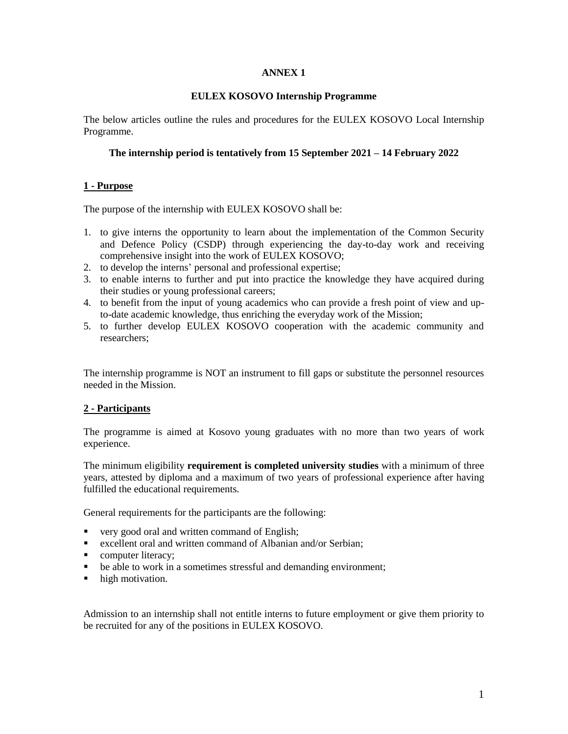## **ANNEX 1**

### **EULEX KOSOVO Internship Programme**

The below articles outline the rules and procedures for the EULEX KOSOVO Local Internship Programme.

### **The internship period is tentatively from 15 September 2021 – 14 February 2022**

## **1 - Purpose**

The purpose of the internship with EULEX KOSOVO shall be:

- 1. to give interns the opportunity to learn about the implementation of the Common Security and Defence Policy (CSDP) through experiencing the day-to-day work and receiving comprehensive insight into the work of EULEX KOSOVO;
- 2. to develop the interns' personal and professional expertise;
- 3. to enable interns to further and put into practice the knowledge they have acquired during their studies or young professional careers;
- 4. to benefit from the input of young academics who can provide a fresh point of view and upto-date academic knowledge, thus enriching the everyday work of the Mission;
- 5. to further develop EULEX KOSOVO cooperation with the academic community and researchers;

The internship programme is NOT an instrument to fill gaps or substitute the personnel resources needed in the Mission.

### **2 - Participants**

The programme is aimed at Kosovo young graduates with no more than two years of work experience.

The minimum eligibility **requirement is completed university studies** with a minimum of three years, attested by diploma and a maximum of two years of professional experience after having fulfilled the educational requirements.

General requirements for the participants are the following:

- very good oral and written command of English;
- excellent oral and written command of Albanian and/or Serbian;
- **computer literacy;**
- $\blacksquare$  be able to work in a sometimes stressful and demanding environment;
- high motivation.

Admission to an internship shall not entitle interns to future employment or give them priority to be recruited for any of the positions in EULEX KOSOVO.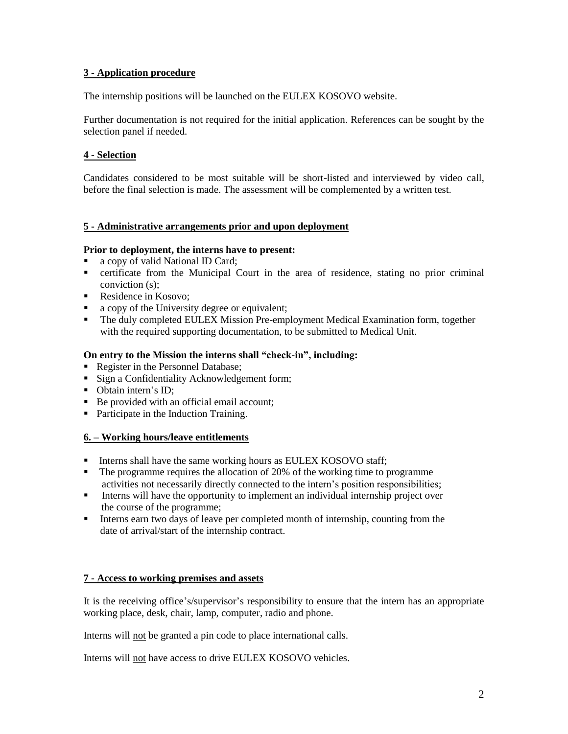## **3 - Application procedure**

The internship positions will be launched on the EULEX KOSOVO website.

Further documentation is not required for the initial application. References can be sought by the selection panel if needed.

# **4 - Selection**

Candidates considered to be most suitable will be short-listed and interviewed by video call, before the final selection is made. The assessment will be complemented by a written test.

## **5 - Administrative arrangements prior and upon deployment**

## **Prior to deployment, the interns have to present:**

- a copy of valid National ID Card;
- certificate from the Municipal Court in the area of residence, stating no prior criminal conviction (s);
- Residence in Kosovo;
- a copy of the University degree or equivalent;
- The duly completed EULEX Mission Pre-employment Medical Examination form, together with the required supporting documentation, to be submitted to Medical Unit.

### **On entry to the Mission the interns shall "check-in", including:**

- Register in the Personnel Database;
- **Sign a Confidentiality Acknowledgement form;**
- Obtain intern's ID:
- Be provided with an official email account;
- Participate in the Induction Training.

### **6. – Working hours/leave entitlements**

- Interns shall have the same working hours as EULEX KOSOVO staff;
- The programme requires the allocation of 20% of the working time to programme activities not necessarily directly connected to the intern's position responsibilities;
- Interns will have the opportunity to implement an individual internship project over the course of the programme;
- Interns earn two days of leave per completed month of internship, counting from the date of arrival/start of the internship contract.

### **7 - Access to working premises and assets**

It is the receiving office's/supervisor's responsibility to ensure that the intern has an appropriate working place, desk, chair, lamp, computer, radio and phone.

Interns will not be granted a pin code to place international calls.

Interns will not have access to drive EULEX KOSOVO vehicles.